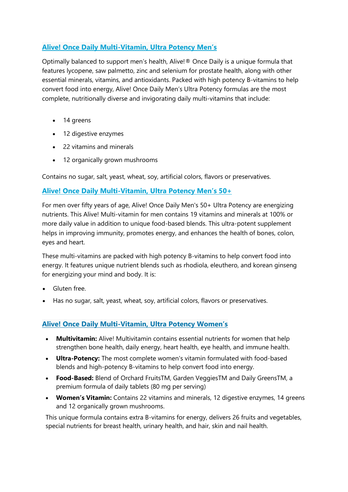## **Alive! Once Daily Multi-[Vitamin, Ultra Potency Men's](https://www.finesupplements.co.uk/wp-admin/post.php?post=1098&action=edit)**

Optimally balanced to support men's health, Alive!® Once Daily is a unique formula that features lycopene, saw palmetto, zinc and selenium for prostate health, along with other essential minerals, vitamins, and antioxidants. Packed with high potency B-vitamins to help convert food into energy, Alive! Once Daily Men's Ultra Potency formulas are the most complete, nutritionally diverse and invigorating daily multi-vitamins that include:

- 14 greens
- 12 digestive enzymes
- 22 vitamins and minerals
- 12 organically grown mushrooms

Contains no sugar, salt, yeast, wheat, soy, artificial colors, flavors or preservatives.

## **Alive! Once Daily Multi-[Vitamin, Ultra Potency Men's 50+](https://www.finesupplements.co.uk/wp-admin/post.php?post=1093&action=edit)**

For men over fifty years of age, Alive! Once Daily Men's 50+ Ultra Potency are energizing nutrients. This Alive! Multi-vitamin for men contains 19 vitamins and minerals at 100% or more daily value in addition to unique food-based blends. This ultra-potent supplement helps in improving immunity, promotes energy, and enhances the health of bones, colon, eyes and heart.

These multi-vitamins are packed with high potency B-vitamins to help convert food into energy. It features unique nutrient blends such as rhodiola, eleuthero, and korean ginseng for energizing your mind and body. It is:

- Gluten free.
- Has no sugar, salt, yeast, wheat, soy, artificial colors, flavors or preservatives.

## **Alive! Once Daily Multi-[Vitamin, Ultra Potency Women's](https://www.finesupplements.co.uk/wp-admin/post.php?post=1102&action=edit)**

- **Multivitamin:** Alive! Multivitamin contains essential nutrients for women that help strengthen bone health, daily energy, heart health, eye health, and immune health.
- **Ultra-Potency:** The most complete women's vitamin formulated with food-based blends and high-potency B-vitamins to help convert food into energy.
- **Food-Based:** Blend of Orchard FruitsTM, Garden VeggiesTM and Daily GreensTM, a premium formula of daily tablets (80 mg per serving)
- **Women's Vitamin:** Contains 22 vitamins and minerals, 12 digestive enzymes, 14 greens and 12 organically grown mushrooms.

This unique formula contains extra B-vitamins for energy, delivers 26 fruits and vegetables, special nutrients for breast health, urinary health, and hair, skin and nail health.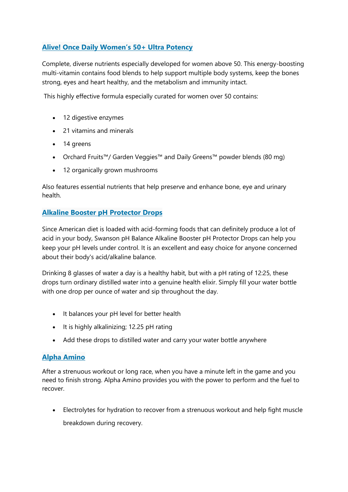## **[Alive! Once Daily Women's 50+ Ultra Potency](https://www.finesupplements.co.uk/wp-admin/post.php?post=1085&action=edit)**

Complete, diverse nutrients especially developed for women above 50. This energy-boosting multi-vitamin contains food blends to help support multiple body systems, keep the bones strong, eyes and heart healthy, and the metabolism and immunity intact.

This highly effective formula especially curated for women over 50 contains:

- 12 digestive enzymes
- 21 vitamins and minerals
- 14 greens
- Orchard Fruits™/ Garden Veggies™ and Daily Greens™ powder blends (80 mg)
- 12 organically grown mushrooms

Also features essential nutrients that help preserve and enhance bone, eye and urinary health.

## **[Alkaline Booster pH Protector Drops](https://www.finesupplements.co.uk/wp-admin/post.php?post=1538&action=edit)**

Since American diet is loaded with acid-forming foods that can definitely produce a lot of acid in your body, Swanson pH Balance Alkaline Booster pH Protector Drops can help you keep your pH levels under control. It is an excellent and easy choice for anyone concerned about their body's acid/alkaline balance.

Drinking 8 glasses of water a day is a healthy habit, but with a pH rating of 12:25, these drops turn ordinary distilled water into a genuine health elixir. Simply fill your water bottle with one drop per ounce of water and sip throughout the day.

- It balances your pH level for better health
- It is highly alkalinizing; 12.25 pH rating
- Add these drops to distilled water and carry your water bottle anywhere

#### **[Alpha Amino](https://www.finesupplements.co.uk/wp-admin/post.php?post=1243&action=edit)**

After a strenuous workout or long race, when you have a minute left in the game and you need to finish strong. Alpha Amino provides you with the power to perform and the fuel to recover.

• Electrolytes for hydration to recover from a strenuous workout and help fight muscle breakdown during recovery.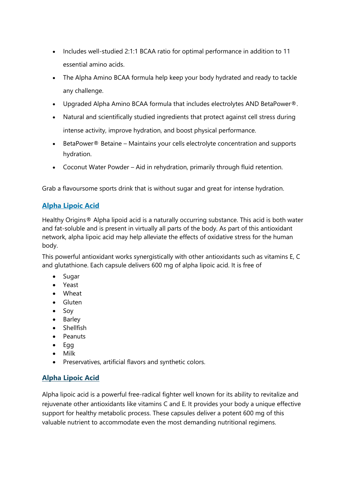- Includes well-studied 2:1:1 BCAA ratio for optimal performance in addition to 11 essential amino acids.
- The Alpha Amino BCAA formula help keep your body hydrated and ready to tackle any challenge.
- Upgraded Alpha Amino BCAA formula that includes electrolytes AND BetaPower®.
- Natural and scientifically studied ingredients that protect against cell stress during intense activity, improve hydration, and boost physical performance.
- BetaPower® Betaine Maintains your cells electrolyte concentration and supports hydration.
- Coconut Water Powder Aid in rehydration, primarily through fluid retention.

Grab a flavoursome sports drink that is without sugar and great for intense hydration.

## **[Alpha Lipoic Acid](https://www.finesupplements.co.uk/wp-admin/post.php?post=1676&action=edit)**

Healthy Origins® Alpha lipoid acid is a naturally occurring substance. This acid is both water and fat-soluble and is present in virtually all parts of the body. As part of this antioxidant network, alpha lipoic acid may help alleviate the effects of oxidative stress for the human body.

This powerful antioxidant works synergistically with other antioxidants such as vitamins E, C and glutathione. Each capsule delivers 600 mg of alpha lipoic acid. It is free of

- Sugar
- Yeast
- Wheat
- Gluten
- Soy
- Barley
- Shellfish
- Peanuts
- Egg
- Milk
- Preservatives, artificial flavors and synthetic colors.

# **[Alpha Lipoic Acid](https://www.finesupplements.co.uk/wp-admin/post.php?post=1733&action=edit)**

Alpha lipoic acid is a powerful free-radical fighter well known for its ability to revitalize and rejuvenate other antioxidants like vitamins C and E. It provides your body a unique effective support for healthy metabolic process. These capsules deliver a potent 600 mg of this valuable nutrient to accommodate even the most demanding nutritional regimens.